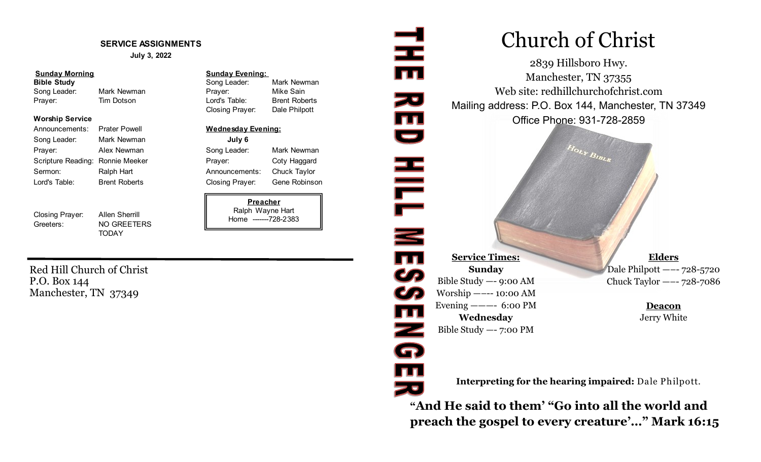### **SERVICE ASSIGNMENTS**

**July 3, 2022**

### **Sunday Morning Sunday Evening:**

Song Leader: Mark Newman **Prayer:** Mike Sain Prayer: Tim Dotson Lord's Table: Brent Roberts

### **Worship Service**

Announcements: Prater Powell **Wednesday Evening:** Song Leader: Mark Newman **July 6** Prayer: Alex Newman Song Leader: Mark Newman Song Leader: Mark Newman Scripture Reading: Ronnie Meeker **Prayer:** Prayer: Coty Haggard Sermon: Ralph Hart **Announcements:** Chuck Taylor Lord's Table: Brent Roberts Closing Prayer: Gene Robinson

Closing Prayer: Allen Sherrill

Greeters: NO GREETERS **TODAY** 

**Bible Study Song Leader:** Mark Newman **Bible Study** Song Leader: Mark Newman Closing Prayer: Dale Philpott

**Preacher** Ralph Wayne Hart Home -------728-2383

Red Hill Church of Christ P.O. Box 144 Manchester, TN 37349

# HILL NE39  $\overline{\mathbf{m}}$

Z<br>G

**TI** 

Evening  $--- 6:00 \text{ PM}$ **Wednesday** Bible Study —- 7:00 PM

**Elders** Dale Philpott —–- 728-5720 Chuck Taylor —–- 728-7086

> **Deacon** Jerry White

**Interpreting for the hearing impaired:** Dale Philpott.

**"And He said to them' "Go into all the world and preach the gospel to every creature'…" Mark 16:15**

# Church of Christ

2839 Hillsboro Hwy. Manchester, TN 37355 Web site: redhillchurchofchrist.com Mailing address: P.O. Box 144, Manchester, TN 37349 Office Phone: 931-728-2859

 $H_{OLY}$   $B_{IBL_R}$ 

**Service Times: Sunday** Bible Study —- 9:00 AM Worship —–-- 10:00 AM